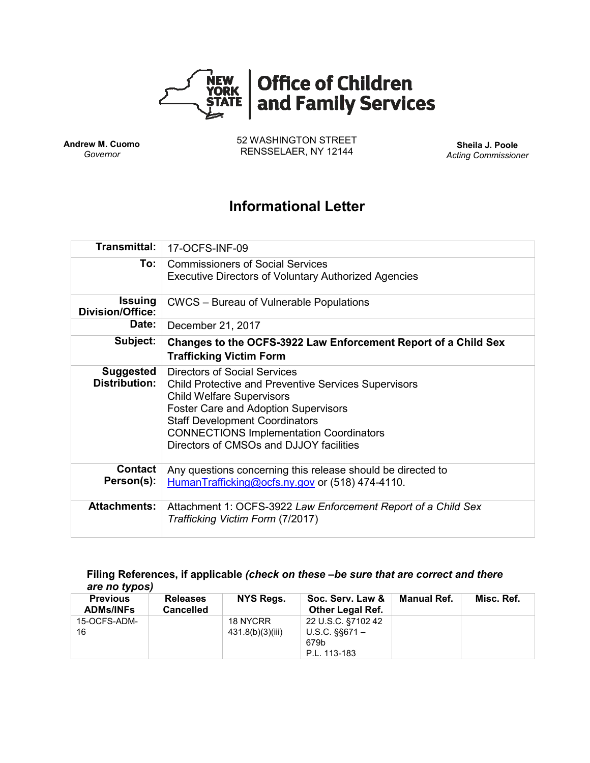

**Andrew M. Cuomo** *Governor*

52 WASHINGTON STREET RENSSELAER, NY 12144 **Sheila J. Poole**

*Acting Commissioner*

# **Informational Letter**

| <b>Transmittal:</b>                       | 17-OCFS-INF-09                                                                                                                                                                                                                                                                                                              |  |  |  |  |
|-------------------------------------------|-----------------------------------------------------------------------------------------------------------------------------------------------------------------------------------------------------------------------------------------------------------------------------------------------------------------------------|--|--|--|--|
| To:                                       | <b>Commissioners of Social Services</b><br><b>Executive Directors of Voluntary Authorized Agencies</b>                                                                                                                                                                                                                      |  |  |  |  |
| <b>Issuing</b><br><b>Division/Office:</b> | CWCS - Bureau of Vulnerable Populations                                                                                                                                                                                                                                                                                     |  |  |  |  |
| Date:                                     | December 21, 2017                                                                                                                                                                                                                                                                                                           |  |  |  |  |
| Subject:                                  | Changes to the OCFS-3922 Law Enforcement Report of a Child Sex<br><b>Trafficking Victim Form</b>                                                                                                                                                                                                                            |  |  |  |  |
| <b>Suggested</b><br>Distribution:         | <b>Directors of Social Services</b><br><b>Child Protective and Preventive Services Supervisors</b><br><b>Child Welfare Supervisors</b><br><b>Foster Care and Adoption Supervisors</b><br><b>Staff Development Coordinators</b><br><b>CONNECTIONS Implementation Coordinators</b><br>Directors of CMSOs and DJJOY facilities |  |  |  |  |
| Contact<br>Person(s):                     | Any questions concerning this release should be directed to<br>HumanTrafficking@ocfs.ny.gov or (518) 474-4110.                                                                                                                                                                                                              |  |  |  |  |
| <b>Attachments:</b>                       | Attachment 1: OCFS-3922 Law Enforcement Report of a Child Sex<br>Trafficking Victim Form (7/2017)                                                                                                                                                                                                                           |  |  |  |  |

#### **Filing References, if applicable** *(check on these –be sure that are correct and there are no typos)*

| <b>Previous</b><br><b>ADMs/INFs</b> | <b>Releases</b><br><b>Cancelled</b> | NYS Regs.                    | Soc. Serv. Law &<br><b>Other Legal Ref.</b>                      | Manual Ref. | Misc. Ref. |
|-------------------------------------|-------------------------------------|------------------------------|------------------------------------------------------------------|-------------|------------|
| 15-OCFS-ADM-<br>16                  |                                     | 18 NYCRR<br>431.8(b)(3)(iii) | 22 U.S.C. §7102 42<br>$U.S.C.$ §§671 $-$<br>679b<br>P.L. 113-183 |             |            |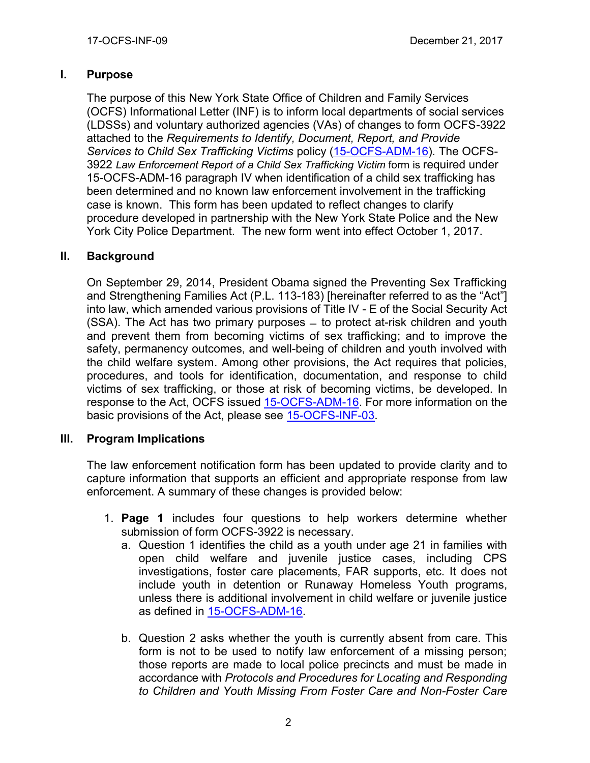## **I. Purpose**

The purpose of this New York State Office of Children and Family Services (OCFS) Informational Letter (INF) is to inform local departments of social services (LDSSs) and voluntary authorized agencies (VAs) of changes to form OCFS-3922 attached to the *Requirements to Identify, Document, Report, and Provide Services to Child Sex Trafficking Victims* policy [\(15-OCFS-ADM-16\)](https://www.google.com/url?sa=t&rct=j&q=&esrc=s&source=web&cd=1&cad=rja&uact=8&ved=0ahUKEwjAkvuDn-vWAhUB3CYKHTklCaYQFggmMAA&url=http%3A%2F%2Focfs.ny.gov%2Fmain%2Fpolicies%2Fexternal%2FOCFS_2015%2FADMs%2F15-OCFS-ADM-16%2520%2520Requirements%2520to%2520Identify%2C%2520Document%2C%2520Report%2C%2520and%2520Provide%2520Services%2520to%2520Child%2520Sex%2520Trafficking%2520Victims.pdf&usg=AOvVaw0nI2QP3wYrIfZx_e8jXrRJ)*.* The OCFS-3922 *Law Enforcement Report of a Child Sex Trafficking Victim* form is required under 15-OCFS-ADM-16 paragraph IV when identification of a child sex trafficking has been determined and no known law enforcement involvement in the trafficking case is known. This form has been updated to reflect changes to clarify procedure developed in partnership with the New York State Police and the New York City Police Department. The new form went into effect October 1, 2017.

### **II. Background**

On September 29, 2014, President Obama signed the Preventing Sex Trafficking and Strengthening Families Act (P.L. 113-183) [hereinafter referred to as the "Act"] into law, which amended various provisions of Title IV - E of the Social Security Act (SSA). The Act has two primary purposes ̶ to protect at-risk children and youth and prevent them from becoming victims of sex trafficking; and to improve the safety, permanency outcomes, and well-being of children and youth involved with the child welfare system. Among other provisions, the Act requires that policies, procedures, and tools for identification, documentation, and response to child victims of sex trafficking, or those at risk of becoming victims, be developed. In response to the Act, OCFS issued [15-OCFS-ADM-16.](https://www.google.com/url?sa=t&rct=j&q=&esrc=s&source=web&cd=1&cad=rja&uact=8&ved=0ahUKEwj7vaWftoLYAhWJbRQKHR8OC9IQFggnMAA&url=http%3A%2F%2Focfs.ny.gov%2Fmain%2Fpolicies%2Fexternal%2FOCFS_2015%2FADMs%2F15-OCFS-ADM-16%2520%2520Requirements%2520to%2520Identify%2C%2520Document%2C%2520Report%2C%2520and%2520Provide%2520Services%2520to%2520Child%2520Sex%2520Trafficking%2520Victims.pdf&usg=AOvVaw0nI2QP3wYrIfZx_e8jXrRJ) For more information on the basic provisions of the Act, please see [15-OCFS-INF-03.](https://www.google.com/url?sa=t&rct=j&q=&esrc=s&source=web&cd=1&cad=rja&uact=8&ved=0ahUKEwiS_Pudn-vWAhWH6SYKHcRGDnsQFggmMAA&url=http%3A%2F%2Focfs.ny.gov%2Fmain%2Fpolicies%2Fexternal%2FOCFS_2015%2FINFs%2F15-OCFS-INF-03%2520%2520Preventing%2520Sex%2520Trafficking%2520and%2520Strengthening%2520Families%2520Act%2520%2528P.L.%2520113-183%2529.pdf&usg=AOvVaw0srPVUf1_ikY736Kq0CHK3)

#### **III. Program Implications**

The law enforcement notification form has been updated to provide clarity and to capture information that supports an efficient and appropriate response from law enforcement. A summary of these changes is provided below:

- 1. **Page 1** includes four questions to help workers determine whether submission of form OCFS-3922 is necessary.
	- a. Question 1 identifies the child as a youth under age 21 in families with open child welfare and juvenile justice cases, including CPS investigations, foster care placements, FAR supports, etc. It does not include youth in detention or Runaway Homeless Youth programs, unless there is additional involvement in child welfare or juvenile justice as defined in [15-OCFS-ADM-16.](https://www.google.com/url?sa=t&rct=j&q=&esrc=s&source=web&cd=1&cad=rja&uact=8&ved=0ahUKEwjAkvuDn-vWAhUB3CYKHTklCaYQFggmMAA&url=http%3A%2F%2Focfs.ny.gov%2Fmain%2Fpolicies%2Fexternal%2FOCFS_2015%2FADMs%2F15-OCFS-ADM-16%2520%2520Requirements%2520to%2520Identify%2C%2520Document%2C%2520Report%2C%2520and%2520Provide%2520Services%2520to%2520Child%2520Sex%2520Trafficking%2520Victims.pdf&usg=AOvVaw0nI2QP3wYrIfZx_e8jXrRJ)
	- b. Question 2 asks whether the youth is currently absent from care. This form is not to be used to notify law enforcement of a missing person; those reports are made to local police precincts and must be made in accordance with *Protocols and Procedures for Locating and Responding to Children and Youth Missing From Foster Care and Non-Foster Care*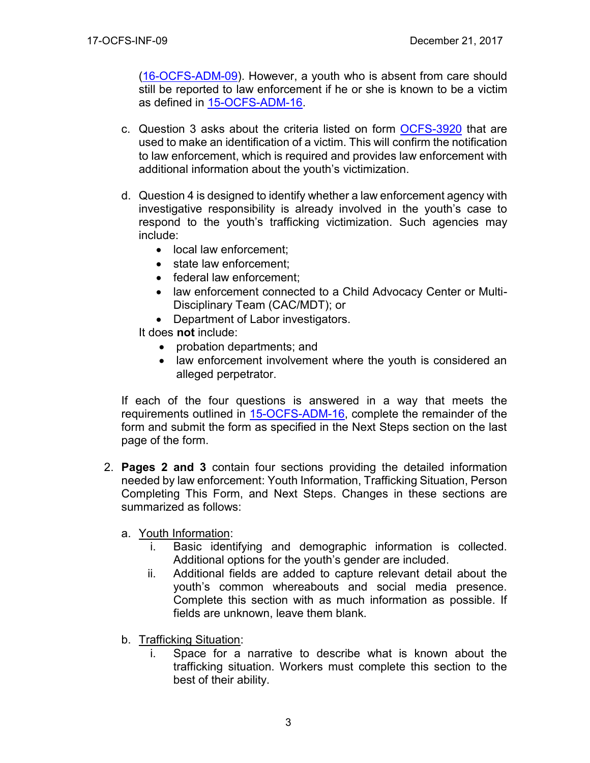[\(16-OCFS-ADM-09\)](http://ocfs.ny.gov/main/humantrafficking/resources/16-OCFS-ADM-09.pdf). However, a youth who is absent from care should still be reported to law enforcement if he or she is known to be a victim as defined in [15-OCFS-ADM-16.](https://www.google.com/url?sa=t&rct=j&q=&esrc=s&source=web&cd=1&cad=rja&uact=8&ved=0ahUKEwjAkvuDn-vWAhUB3CYKHTklCaYQFggmMAA&url=http%3A%2F%2Focfs.ny.gov%2Fmain%2Fpolicies%2Fexternal%2FOCFS_2015%2FADMs%2F15-OCFS-ADM-16%2520%2520Requirements%2520to%2520Identify%2C%2520Document%2C%2520Report%2C%2520and%2520Provide%2520Services%2520to%2520Child%2520Sex%2520Trafficking%2520Victims.pdf&usg=AOvVaw0nI2QP3wYrIfZx_e8jXrRJ)

- c. Question 3 asks about the criteria listed on form [OCFS-3920](https://www.google.com/url?sa=t&rct=j&q=&esrc=s&source=web&cd=1&cad=rja&uact=8&ved=0ahUKEwi22PujoevWAhWJQCYKHdcfAXEQFggmMAA&url=http%3A%2F%2Focfs.ny.gov%2Fmain%2FForms%2FFoster_Care%2FOCFS-3920%2520Child%2520Sex%2520Trafficking%2520Idicators%2520Tool.dot&usg=AOvVaw0kmN1D-_EDDaVUtr_3AfON) that are used to make an identification of a victim. This will confirm the notification to law enforcement, which is required and provides law enforcement with additional information about the youth's victimization.
- d. Question 4 is designed to identify whether a law enforcement agency with investigative responsibility is already involved in the youth's case to respond to the youth's trafficking victimization. Such agencies may include:
	- local law enforcement;
	- state law enforcement;
	- federal law enforcement;
	- law enforcement connected to a Child Advocacy Center or Multi-Disciplinary Team (CAC/MDT); or
	- Department of Labor investigators.

It does **not** include:

- probation departments; and
- law enforcement involvement where the youth is considered an alleged perpetrator.

If each of the four questions is answered in a way that meets the requirements outlined in [15-OCFS-ADM-16,](https://www.google.com/url?sa=t&rct=j&q=&esrc=s&source=web&cd=1&cad=rja&uact=8&ved=0ahUKEwjAkvuDn-vWAhUB3CYKHTklCaYQFggmMAA&url=http%3A%2F%2Focfs.ny.gov%2Fmain%2Fpolicies%2Fexternal%2FOCFS_2015%2FADMs%2F15-OCFS-ADM-16%2520%2520Requirements%2520to%2520Identify%2C%2520Document%2C%2520Report%2C%2520and%2520Provide%2520Services%2520to%2520Child%2520Sex%2520Trafficking%2520Victims.pdf&usg=AOvVaw0nI2QP3wYrIfZx_e8jXrRJ) complete the remainder of the form and submit the form as specified in the Next Steps section on the last page of the form.

- 2. **Pages 2 and 3** contain four sections providing the detailed information needed by law enforcement: Youth Information, Trafficking Situation, Person Completing This Form, and Next Steps. Changes in these sections are summarized as follows:
	- a. Youth Information:
		- i. Basic identifying and demographic information is collected. Additional options for the youth's gender are included.
		- ii. Additional fields are added to capture relevant detail about the youth's common whereabouts and social media presence. Complete this section with as much information as possible. If fields are unknown, leave them blank.
	- b. Trafficking Situation:
		- i. Space for a narrative to describe what is known about the trafficking situation. Workers must complete this section to the best of their ability.